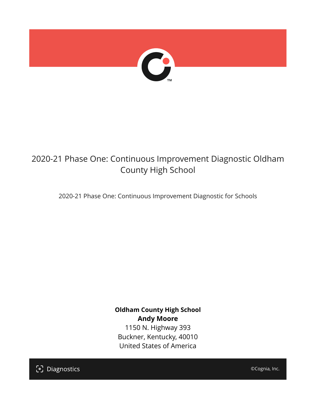

# 2020-21 Phase One: Continuous Improvement Diagnostic Oldham County High School

2020-21 Phase One: Continuous Improvement Diagnostic for Schools

**Oldham County High School Andy Moore** 1150 N. Highway 393 Buckner, Kentucky, 40010 United States of America

[၁] Diagnostics

©Cognia, Inc.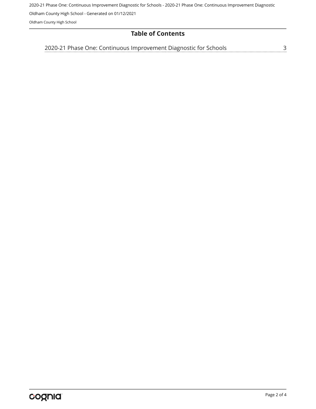2020-21 Phase One: Continuous Improvement Diagnostic for Schools - 2020-21 Phase One: Continuous Improvement Diagnostic

Oldham County High School - Generated on 01/12/2021

Oldham County High School

#### **Table of Contents**

[2020-21 Phase One: Continuous Improvement Diagnostic for Schools](#page-2-0)[3](#page-2-0)<br>...........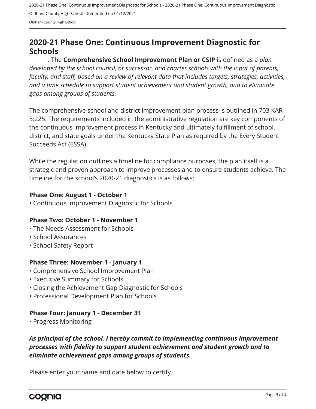2020-21 Phase One: Continuous Improvement Diagnostic for Schools - 2020-21 Phase One: Continuous Improvement Diagnostic Oldham County High School - Generated on 01/12/2021 Oldham County High School

## <span id="page-2-0"></span>**2020-21 Phase One: Continuous Improvement Diagnostic for Schools**

. The **Comprehensive School Improvement Plan or CSIP** is defined as a *plan developed by the school council, or successor, and charter schools with the input of parents, faculty, and staff, based on a review of relevant data that includes targets, strategies, activities, and a time schedule to support student achievement and student growth, and to eliminate gaps among groups of students.*

The comprehensive school and district improvement plan process is outlined in 703 KAR 5:225. The requirements included in the administrative regulation are key components of the continuous improvement process in Kentucky and ultimately fulfillment of school, district, and state goals under the Kentucky State Plan as required by the Every Student Succeeds Act (ESSA).

While the regulation outlines a timeline for compliance purposes, the plan itself is a strategic and proven approach to improve processes and to ensure students achieve. The timeline for the school's 2020-21 diagnostics is as follows:

#### **Phase One: August 1 - October 1**

• Continuous Improvement Diagnostic for Schools

#### **Phase Two: October 1 - November 1**

- The Needs Assessment for Schools
- School Assurances
- School Safety Report

#### **Phase Three: November 1 - January 1**

- Comprehensive School Improvement Plan
- Executive Summary for Schools
- Closing the Achievement Gap Diagnostic for Schools
- Professional Development Plan for Schools

#### **Phase Four: January 1 - December 31**

• Progress Monitoring

### *As principal of the school, I hereby commit to implementing continuous improvement processes with fidelity to support student achievement and student growth and to eliminate achievement gaps among groups of students.*

Please enter your name and date below to certify.